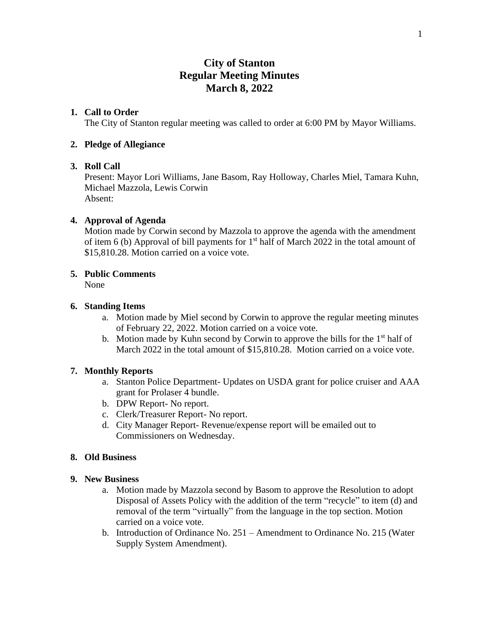# **City of Stanton Regular Meeting Minutes March 8, 2022**

# **1. Call to Order**

The City of Stanton regular meeting was called to order at 6:00 PM by Mayor Williams.

# **2. Pledge of Allegiance**

# **3. Roll Call**

Present: Mayor Lori Williams, Jane Basom, Ray Holloway, Charles Miel, Tamara Kuhn, Michael Mazzola, Lewis Corwin Absent:

# **4. Approval of Agenda**

Motion made by Corwin second by Mazzola to approve the agenda with the amendment of item 6 (b) Approval of bill payments for  $1<sup>st</sup>$  half of March 2022 in the total amount of \$15,810.28. Motion carried on a voice vote.

# **5. Public Comments**

None

# **6. Standing Items**

- a. Motion made by Miel second by Corwin to approve the regular meeting minutes of February 22, 2022. Motion carried on a voice vote.
- b. Motion made by Kuhn second by Corwin to approve the bills for the 1<sup>st</sup> half of March 2022 in the total amount of \$15,810.28. Motion carried on a voice vote.

# **7. Monthly Reports**

- a. Stanton Police Department- Updates on USDA grant for police cruiser and AAA grant for Prolaser 4 bundle.
- b. DPW Report- No report.
- c. Clerk/Treasurer Report- No report.
- d. City Manager Report- Revenue/expense report will be emailed out to Commissioners on Wednesday.

# **8. Old Business**

#### **9. New Business**

- a. Motion made by Mazzola second by Basom to approve the Resolution to adopt Disposal of Assets Policy with the addition of the term "recycle" to item (d) and removal of the term "virtually" from the language in the top section. Motion carried on a voice vote.
- b. Introduction of Ordinance No. 251 Amendment to Ordinance No. 215 (Water Supply System Amendment).